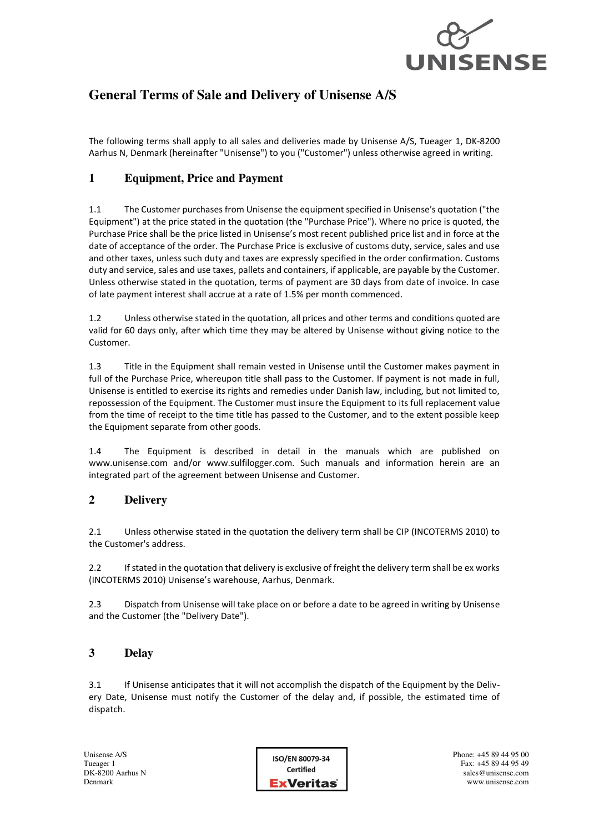

# **General Terms of Sale and Delivery of Unisense A/S**

The following terms shall apply to all sales and deliveries made by Unisense A/S, Tueager 1, DK-8200 Aarhus N, Denmark (hereinafter "Unisense") to you ("Customer") unless otherwise agreed in writing.

# **1 Equipment, Price and Payment**

1.1 The Customer purchases from Unisense the equipment specified in Unisense's quotation ("the Equipment") at the price stated in the quotation (the "Purchase Price"). Where no price is quoted, the Purchase Price shall be the price listed in Unisense's most recent published price list and in force at the date of acceptance of the order. The Purchase Price is exclusive of customs duty, service, sales and use and other taxes, unless such duty and taxes are expressly specified in the order confirmation. Customs duty and service, sales and use taxes, pallets and containers, if applicable, are payable by the Customer. Unless otherwise stated in the quotation, terms of payment are 30 days from date of invoice. In case of late payment interest shall accrue at a rate of 1.5% per month commenced.

1.2 Unless otherwise stated in the quotation, all prices and other terms and conditions quoted are valid for 60 days only, after which time they may be altered by Unisense without giving notice to the Customer.

1.3 Title in the Equipment shall remain vested in Unisense until the Customer makes payment in full of the Purchase Price, whereupon title shall pass to the Customer. If payment is not made in full, Unisense is entitled to exercise its rights and remedies under Danish law, including, but not limited to, repossession of the Equipment. The Customer must insure the Equipment to its full replacement value from the time of receipt to the time title has passed to the Customer, and to the extent possible keep the Equipment separate from other goods.

1.4 The Equipment is described in detail in the manuals which are published on www.unisense.com and/or www.sulfilogger.com. Such manuals and information herein are an integrated part of the agreement between Unisense and Customer.

## **2 Delivery**

2.1 Unless otherwise stated in the quotation the delivery term shall be CIP (INCOTERMS 2010) to the Customer's address.

2.2 If stated in the quotation that delivery is exclusive of freight the delivery term shall be ex works (INCOTERMS 2010) Unisense's warehouse, Aarhus, Denmark.

2.3 Dispatch from Unisense will take place on or before a date to be agreed in writing by Unisense and the Customer (the "Delivery Date").

## **3 Delay**

3.1 If Unisense anticipates that it will not accomplish the dispatch of the Equipment by the Delivery Date, Unisense must notify the Customer of the delay and, if possible, the estimated time of dispatch.

ISO/EN 80079-34 Certified **ExVeritas**  Phone: +45 89 44 95 00 Fax: +45 89 44 95 49 sales@unisense.com www.unisense.com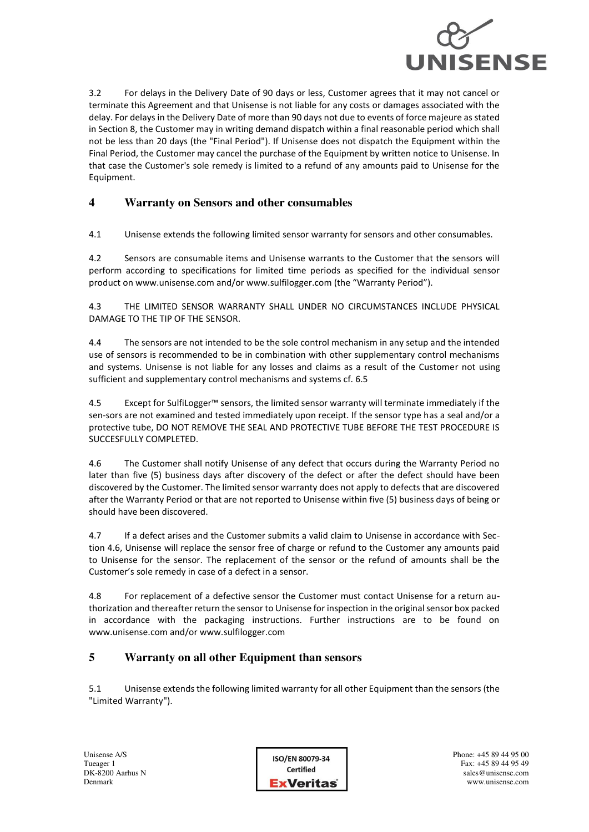

3.2 For delays in the Delivery Date of 90 days or less, Customer agrees that it may not cancel or terminate this Agreement and that Unisense is not liable for any costs or damages associated with the delay. For delays in the Delivery Date of more than 90 days not due to events of force majeure as stated in Section 8, the Customer may in writing demand dispatch within a final reasonable period which shall not be less than 20 days (the "Final Period"). If Unisense does not dispatch the Equipment within the Final Period, the Customer may cancel the purchase of the Equipment by written notice to Unisense. In that case the Customer's sole remedy is limited to a refund of any amounts paid to Unisense for the Equipment.

## **4 Warranty on Sensors and other consumables**

4.1 Unisense extends the following limited sensor warranty for sensors and other consumables.

4.2 Sensors are consumable items and Unisense warrants to the Customer that the sensors will perform according to specifications for limited time periods as specified for the individual sensor product on www.unisense.com and/or www.sulfilogger.com (the "Warranty Period").

4.3 THE LIMITED SENSOR WARRANTY SHALL UNDER NO CIRCUMSTANCES INCLUDE PHYSICAL DAMAGE TO THE TIP OF THE SENSOR.

4.4 The sensors are not intended to be the sole control mechanism in any setup and the intended use of sensors is recommended to be in combination with other supplementary control mechanisms and systems. Unisense is not liable for any losses and claims as a result of the Customer not using sufficient and supplementary control mechanisms and systems cf. 6.5

4.5 Except for SulfiLogger™ sensors, the limited sensor warranty will terminate immediately if the sen-sors are not examined and tested immediately upon receipt. If the sensor type has a seal and/or a protective tube, DO NOT REMOVE THE SEAL AND PROTECTIVE TUBE BEFORE THE TEST PROCEDURE IS SUCCESFULLY COMPLETED.

4.6 The Customer shall notify Unisense of any defect that occurs during the Warranty Period no later than five (5) business days after discovery of the defect or after the defect should have been discovered by the Customer. The limited sensor warranty does not apply to defects that are discovered after the Warranty Period or that are not reported to Unisense within five (5) business days of being or should have been discovered.

4.7 If a defect arises and the Customer submits a valid claim to Unisense in accordance with Section 4.6, Unisense will replace the sensor free of charge or refund to the Customer any amounts paid to Unisense for the sensor. The replacement of the sensor or the refund of amounts shall be the Customer's sole remedy in case of a defect in a sensor.

4.8 For replacement of a defective sensor the Customer must contact Unisense for a return authorization and thereafter return the sensor to Unisense for inspection in the original sensor box packed in accordance with the packaging instructions. Further instructions are to be found on www.unisense.com and/or www.sulfilogger.com

## **5 Warranty on all other Equipment than sensors**

5.1 Unisense extends the following limited warranty for all other Equipment than the sensors (the "Limited Warranty").

ISO/EN 80079-34 Certified **ExVeritas**  Phone: +45 89 44 95 00 Fax: +45 89 44 95 49 sales@unisense.com www.unisense.com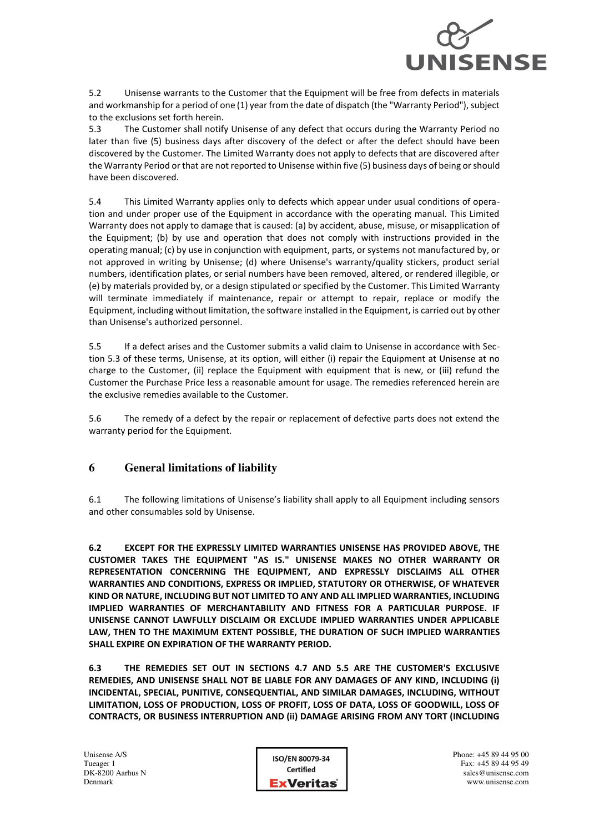

5.2 Unisense warrants to the Customer that the Equipment will be free from defects in materials and workmanship for a period of one (1) year from the date of dispatch (the "Warranty Period"), subject to the exclusions set forth herein.

5.3 The Customer shall notify Unisense of any defect that occurs during the Warranty Period no later than five (5) business days after discovery of the defect or after the defect should have been discovered by the Customer. The Limited Warranty does not apply to defects that are discovered after the Warranty Period or that are not reported to Unisense within five (5) business days of being or should have been discovered.

5.4 This Limited Warranty applies only to defects which appear under usual conditions of operation and under proper use of the Equipment in accordance with the operating manual. This Limited Warranty does not apply to damage that is caused: (a) by accident, abuse, misuse, or misapplication of the Equipment; (b) by use and operation that does not comply with instructions provided in the operating manual; (c) by use in conjunction with equipment, parts, or systems not manufactured by, or not approved in writing by Unisense; (d) where Unisense's warranty/quality stickers, product serial numbers, identification plates, or serial numbers have been removed, altered, or rendered illegible, or (e) by materials provided by, or a design stipulated or specified by the Customer. This Limited Warranty will terminate immediately if maintenance, repair or attempt to repair, replace or modify the Equipment, including without limitation, the software installed in the Equipment, is carried out by other than Unisense's authorized personnel.

5.5 If a defect arises and the Customer submits a valid claim to Unisense in accordance with Section 5.3 of these terms, Unisense, at its option, will either (i) repair the Equipment at Unisense at no charge to the Customer, (ii) replace the Equipment with equipment that is new, or (iii) refund the Customer the Purchase Price less a reasonable amount for usage. The remedies referenced herein are the exclusive remedies available to the Customer.

5.6 The remedy of a defect by the repair or replacement of defective parts does not extend the warranty period for the Equipment.

# **6 General limitations of liability**

6.1 The following limitations of Unisense's liability shall apply to all Equipment including sensors and other consumables sold by Unisense.

**6.2 EXCEPT FOR THE EXPRESSLY LIMITED WARRANTIES UNISENSE HAS PROVIDED ABOVE, THE CUSTOMER TAKES THE EQUIPMENT "AS IS." UNISENSE MAKES NO OTHER WARRANTY OR REPRESENTATION CONCERNING THE EQUIPMENT, AND EXPRESSLY DISCLAIMS ALL OTHER WARRANTIES AND CONDITIONS, EXPRESS OR IMPLIED, STATUTORY OR OTHERWISE, OF WHATEVER KIND OR NATURE, INCLUDING BUT NOT LIMITED TO ANY AND ALL IMPLIED WARRANTIES, INCLUDING IMPLIED WARRANTIES OF MERCHANTABILITY AND FITNESS FOR A PARTICULAR PURPOSE. IF UNISENSE CANNOT LAWFULLY DISCLAIM OR EXCLUDE IMPLIED WARRANTIES UNDER APPLICABLE LAW, THEN TO THE MAXIMUM EXTENT POSSIBLE, THE DURATION OF SUCH IMPLIED WARRANTIES SHALL EXPIRE ON EXPIRATION OF THE WARRANTY PERIOD.**

**6.3 THE REMEDIES SET OUT IN SECTIONS 4.7 AND 5.5 ARE THE CUSTOMER'S EXCLUSIVE REMEDIES, AND UNISENSE SHALL NOT BE LIABLE FOR ANY DAMAGES OF ANY KIND, INCLUDING (i) INCIDENTAL, SPECIAL, PUNITIVE, CONSEQUENTIAL, AND SIMILAR DAMAGES, INCLUDING, WITHOUT LIMITATION, LOSS OF PRODUCTION, LOSS OF PROFIT, LOSS OF DATA, LOSS OF GOODWILL, LOSS OF CONTRACTS, OR BUSINESS INTERRUPTION AND (ii) DAMAGE ARISING FROM ANY TORT (INCLUDING**

| ISO/EN 80079-34  |
|------------------|
| <b>Certified</b> |
| <b>ExVeritas</b> |